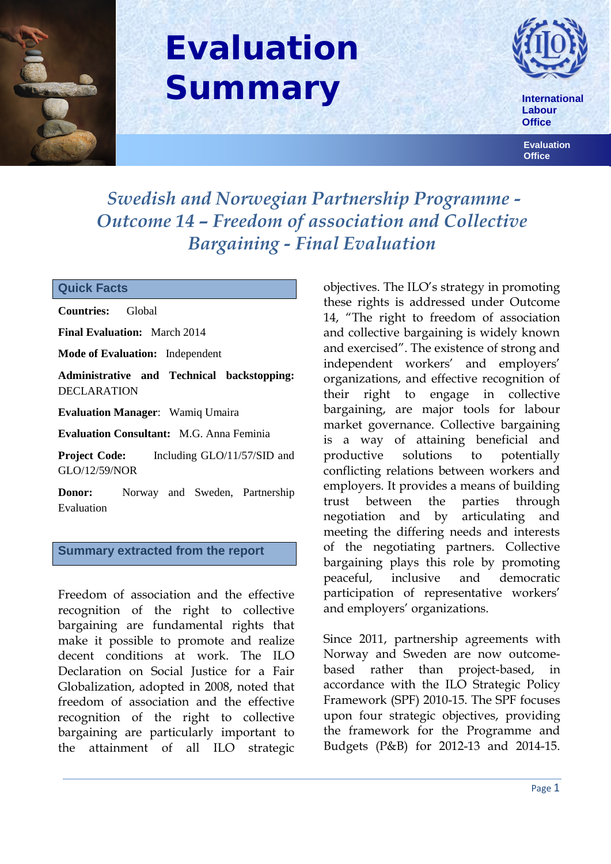

## **Evaluation Summary**



 **Labour Office**

 **Evaluation Office**

## *Swedish and Norwegian Partnership Programme - Outcome 14 – Freedom of association and Collective Bargaining - Final Evaluation*

## **Quick Facts**

**Countries:** Global

**Final Evaluation:** March 2014

**Mode of Evaluation:** Independent

**Administrative and Technical backstopping:** DECLARATION

**Evaluation Manager**: Wamiq Umaira

**Evaluation Consultant:** M.G. Anna Feminia

**Project Code:** Including GLO/11/57/SID and GLO/12/59/NOR

**Donor:** Norway and Sweden, Partnership Evaluation

## **Summary extracted from the report**

Freedom of association and the effective recognition of the right to collective bargaining are fundamental rights that make it possible to promote and realize decent conditions at work. The ILO Declaration on Social Justice for a Fair Globalization, adopted in 2008, noted that freedom of association and the effective recognition of the right to collective bargaining are particularly important to the attainment of all ILO strategic

objectives. The ILO's strategy in promoting these rights is addressed under Outcome 14, "The right to freedom of association and collective bargaining is widely known and exercised". The existence of strong and independent workers' and employers' organizations, and effective recognition of their right to engage in collective bargaining, are major tools for labour market governance. Collective bargaining is a way of attaining beneficial and productive solutions to potentially conflicting relations between workers and employers. It provides a means of building trust between the parties through negotiation and by articulating and meeting the differing needs and interests of the negotiating partners. Collective bargaining plays this role by promoting peaceful, inclusive and democratic participation of representative workers' and employers' organizations.

Since 2011, partnership agreements with Norway and Sweden are now outcomebased rather than project-based, in accordance with the ILO Strategic Policy Framework (SPF) 2010-15. The SPF focuses upon four strategic objectives, providing the framework for the Programme and Budgets (P&B) for 2012-13 and 2014-15.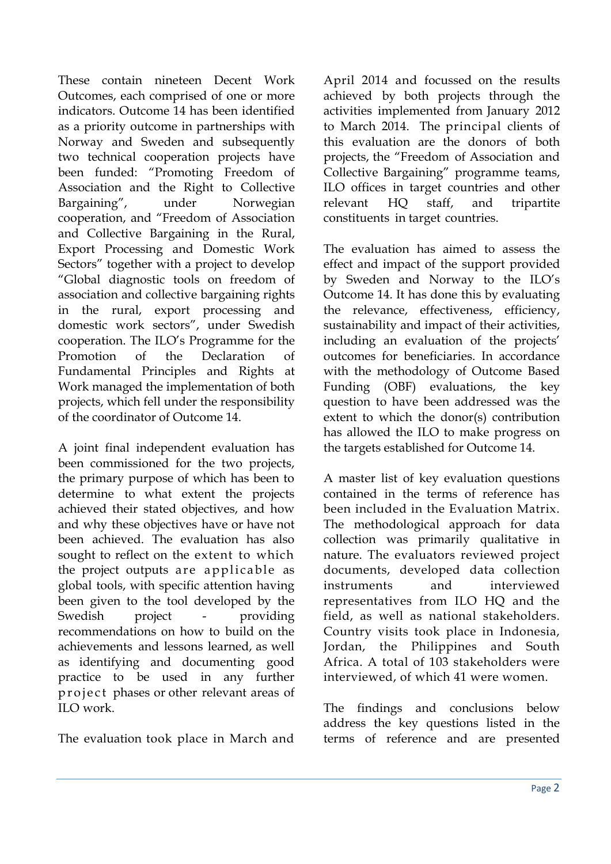These contain nineteen Decent Work Outcomes, each comprised of one or more indicators. Outcome 14 has been identified as a priority outcome in partnerships with Norway and Sweden and subsequently two technical cooperation projects have been funded: "Promoting Freedom of Association and the Right to Collective Bargaining", under Norwegian cooperation, and "Freedom of Association and Collective Bargaining in the Rural, Export Processing and Domestic Work Sectors" together with a project to develop "Global diagnostic tools on freedom of association and collective bargaining rights in the rural, export processing and domestic work sectors", under Swedish cooperation. The ILO's Programme for the Promotion of the Declaration of Fundamental Principles and Rights at Work managed the implementation of both projects, which fell under the responsibility of the coordinator of Outcome 14.

A joint final independent evaluation has been commissioned for the two projects, the primary purpose of which has been to determine to what extent the projects achieved their stated objectives, and how and why these objectives have or have not been achieved. The evaluation has also sought to reflect on the extent to which the project outputs are applicable as global tools, with specific attention having been given to the tool developed by the Swedish project - providing recommendations on how to build on the achievements and lessons learned, as well as identifying and documenting good practice to be used in any further project phases or other relevant areas of ILO work.

The evaluation took place in March and

April 2014 and focussed on the results achieved by both projects through the activities implemented from January 2012 to March 2014. The principal clients of this evaluation are the donors of both projects, the "Freedom of Association and Collective Bargaining" programme teams, ILO offices in target countries and other relevant HQ staff, and tripartite constituents in target countries.

The evaluation has aimed to assess the effect and impact of the support provided by Sweden and Norway to the ILO's Outcome 14. It has done this by evaluating the relevance, effectiveness, efficiency, sustainability and impact of their activities, including an evaluation of the projects' outcomes for beneficiaries. In accordance with the methodology of Outcome Based Funding (OBF) evaluations, the key question to have been addressed was the extent to which the donor(s) contribution has allowed the ILO to make progress on the targets established for Outcome 14.

A master list of key evaluation questions contained in the terms of reference has been included in the Evaluation Matrix. The methodological approach for data collection was primarily qualitative in nature. The evaluators reviewed project documents, developed data collection instruments and interviewed representatives from ILO HQ and the field, as well as national stakeholders. Country visits took place in Indonesia, Jordan, the Philippines and South Africa. A total of 103 stakeholders were interviewed, of which 41 were women.

The findings and conclusions below address the key questions listed in the terms of reference and are presented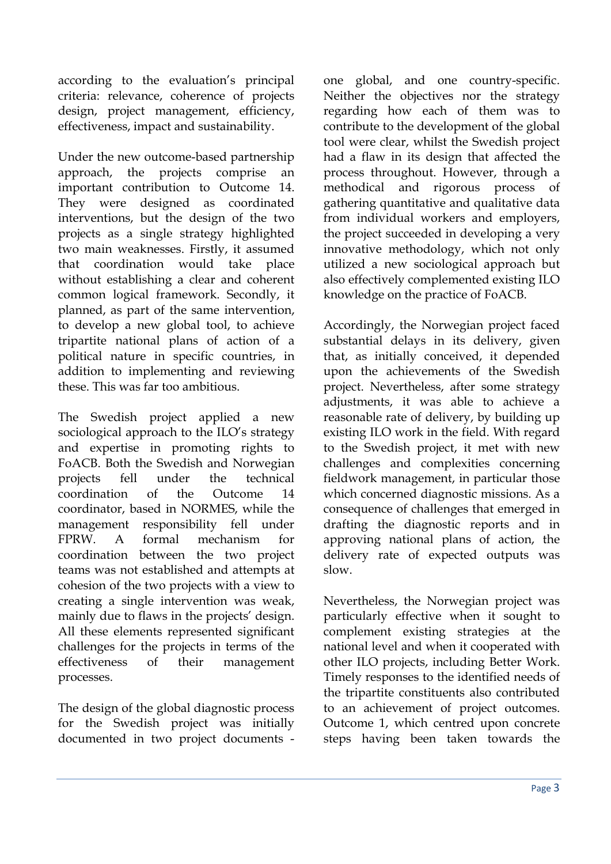according to the evaluation's principal criteria: relevance, coherence of projects design, project management, efficiency, effectiveness, impact and sustainability.

Under the new outcome-based partnership approach, the projects comprise an important contribution to Outcome 14. They were designed as coordinated interventions, but the design of the two projects as a single strategy highlighted two main weaknesses. Firstly, it assumed that coordination would take place without establishing a clear and coherent common logical framework. Secondly, it planned, as part of the same intervention, to develop a new global tool, to achieve tripartite national plans of action of a political nature in specific countries, in addition to implementing and reviewing these. This was far too ambitious.

The Swedish project applied a new sociological approach to the ILO's strategy and expertise in promoting rights to FoACB. Both the Swedish and Norwegian projects fell under the technical coordination of the Outcome 14 coordinator, based in NORMES, while the management responsibility fell under FPRW. A formal mechanism for coordination between the two project teams was not established and attempts at cohesion of the two projects with a view to creating a single intervention was weak, mainly due to flaws in the projects' design. All these elements represented significant challenges for the projects in terms of the effectiveness of their management processes.

The design of the global diagnostic process for the Swedish project was initially documented in two project documents -

one global, and one country-specific. Neither the objectives nor the strategy regarding how each of them was to contribute to the development of the global tool were clear, whilst the Swedish project had a flaw in its design that affected the process throughout. However, through a methodical and rigorous process of gathering quantitative and qualitative data from individual workers and employers, the project succeeded in developing a very innovative methodology, which not only utilized a new sociological approach but also effectively complemented existing ILO knowledge on the practice of FoACB.

Accordingly, the Norwegian project faced substantial delays in its delivery, given that, as initially conceived, it depended upon the achievements of the Swedish project. Nevertheless, after some strategy adjustments, it was able to achieve a reasonable rate of delivery, by building up existing ILO work in the field. With regard to the Swedish project, it met with new challenges and complexities concerning fieldwork management, in particular those which concerned diagnostic missions. As a consequence of challenges that emerged in drafting the diagnostic reports and in approving national plans of action, the delivery rate of expected outputs was slow.

Nevertheless, the Norwegian project was particularly effective when it sought to complement existing strategies at the national level and when it cooperated with other ILO projects, including Better Work. Timely responses to the identified needs of the tripartite constituents also contributed to an achievement of project outcomes. Outcome 1, which centred upon concrete steps having been taken towards the